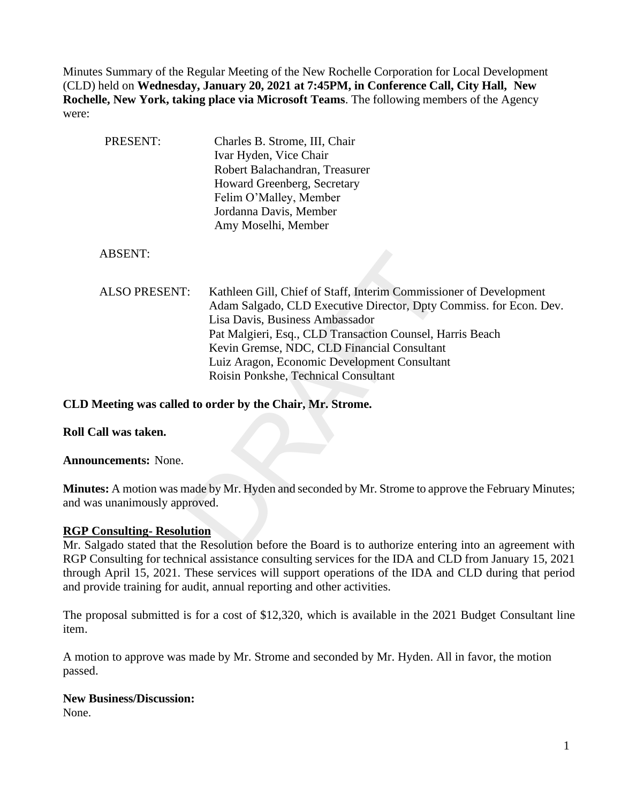Minutes Summary of the Regular Meeting of the New Rochelle Corporation for Local Development (CLD) held on **Wednesday, January 20, 2021 at 7:45PM, in Conference Call, City Hall, New Rochelle, New York, taking place via Microsoft Teams**. The following members of the Agency were:

| PRESENT:                     | Charles B. Strome, III, Chair<br>Ivar Hyden, Vice Chair<br>Robert Balachandran, Treasurer<br>Howard Greenberg, Secretary<br>Felim O'Malley, Member                                                                                                                                                                                                                              |
|------------------------------|---------------------------------------------------------------------------------------------------------------------------------------------------------------------------------------------------------------------------------------------------------------------------------------------------------------------------------------------------------------------------------|
|                              | Jordanna Davis, Member<br>Amy Moselhi, Member                                                                                                                                                                                                                                                                                                                                   |
| <b>ABSENT:</b>               |                                                                                                                                                                                                                                                                                                                                                                                 |
| <b>ALSO PRESENT:</b>         | Kathleen Gill, Chief of Staff, Interim Commissioner of Development<br>Adam Salgado, CLD Executive Director, Dpty Commiss. for Econ. Dev.<br>Lisa Davis, Business Ambassador<br>Pat Malgieri, Esq., CLD Transaction Counsel, Harris Beach<br>Kevin Gremse, NDC, CLD Financial Consultant<br>Luiz Aragon, Economic Development Consultant<br>Roisin Ponkshe, Technical Consultant |
|                              | Meeting was called to order by the Chair, Mr. Strome.                                                                                                                                                                                                                                                                                                                           |
| all was taken.               |                                                                                                                                                                                                                                                                                                                                                                                 |
| <b>ncements:</b> None.       |                                                                                                                                                                                                                                                                                                                                                                                 |
| is unanimously approved.     | es: A motion was made by Mr. Hyden and seconded by Mr. Strome to approve the February Minute                                                                                                                                                                                                                                                                                    |
| <b>Consulting-Resolution</b> |                                                                                                                                                                                                                                                                                                                                                                                 |
|                              | lgado stated that the Resolution before the Board is to authorize entering into an agreement wi                                                                                                                                                                                                                                                                                 |

**CLD Meeting was called to order by the Chair, Mr. Strome.**

**Roll Call was taken.**

**Announcements:** None.

**Minutes:** A motion was made by Mr. Hyden and seconded by Mr. Strome to approve the February Minutes; and was unanimously approved.

## **RGP Consulting- Resolution**

Mr. Salgado stated that the Resolution before the Board is to authorize entering into an agreement with RGP Consulting for technical assistance consulting services for the IDA and CLD from January 15, 2021 through April 15, 2021. These services will support operations of the IDA and CLD during that period and provide training for audit, annual reporting and other activities.

The proposal submitted is for a cost of \$12,320, which is available in the 2021 Budget Consultant line item.

A motion to approve was made by Mr. Strome and seconded by Mr. Hyden. All in favor, the motion passed.

## **New Business/Discussion:**

None.